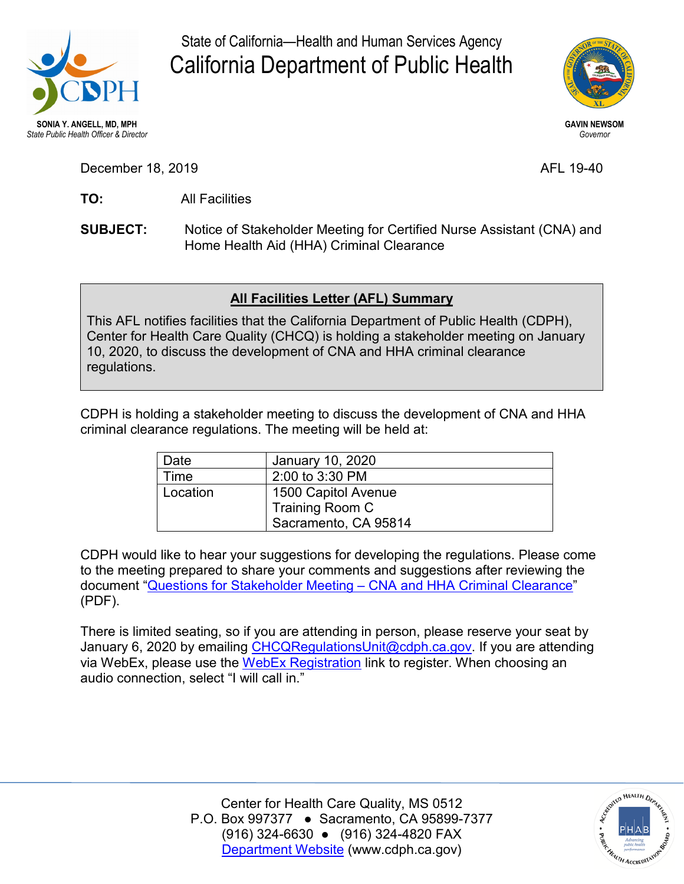

State of California—Health and Human Services Agency California Department of Public Health



**GAVIN NEWSOM**  *Governor* 

December 18, 2019 AFL 19-40

TO: **TO:** All Facilities

**SUBJECT:** Notice of Stakeholder Meeting for Certified Nurse Assistant (CNA) and Home Health Aid (HHA) Criminal Clearance

## **All Facilities Letter (AFL) Summary**

This AFL notifies facilities that the California Department of Public Health (CDPH), Center for Health Care Quality (CHCQ) is holding a stakeholder meeting on January 10, 2020, to discuss the development of CNA and HHA criminal clearance regulations.

CDPH is holding a stakeholder meeting to discuss the development of CNA and HHA criminal clearance regulations. The meeting will be held at:

| Date     | January 10, 2020     |
|----------|----------------------|
| Time     | 2:00 to 3:30 PM      |
| Location | 1500 Capitol Avenue  |
|          | Training Room C      |
|          | Sacramento, CA 95814 |

CDPH would like to hear your suggestions for developing the regulations. Please come to the meeting prepared to share your comments and suggestions after reviewing the document ["Questions for Stakeholder Meeting – CNA and HHA Criminal Clearance"](https://www.cdph.ca.gov/Programs/CHCQ/LCP/CDPH%20Document%20Library/AFL-19-40-Attachment1.pdf) (PDF).

There is limited seating, so if you are attending in person, please reserve your seat by January 6, 2020 by emailing [CHCQRegulationsUnit@cdph.ca.gov.](mailto:CHCQRegulationsUnit@cdph.ca.gov) If you are attending via WebEx, please use the [WebEx Registration](https://cdph-conf.webex.com/cdph-conf/onstage/g.php?MTID=ed78c9a145175e4c3df9baf743e901c01) link to register. When choosing an audio connection, select "I will call in."